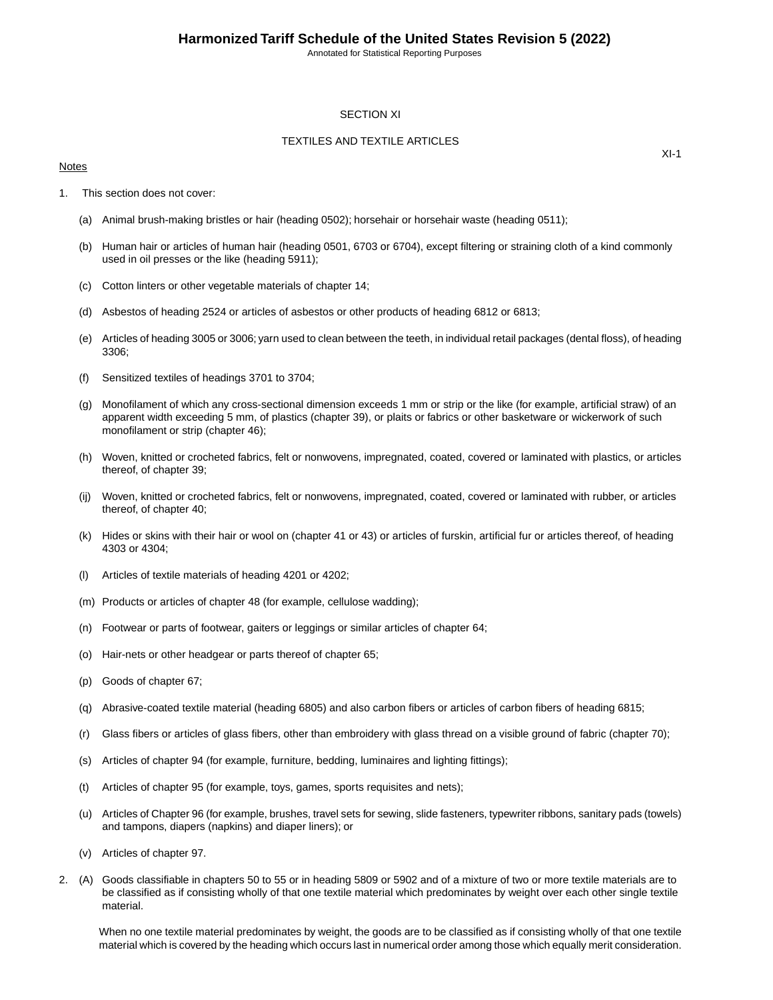## SECTION XI

## TEXTILES AND TEXTILE ARTICLES

### Notes

 $XI-1$ 

- 1. This section does not cover:
	- (a) Animal brush-making bristles or hair (heading 0502); horsehair or horsehair waste (heading 0511);
	- (b) Human hair or articles of human hair (heading 0501, 6703 or 6704), except filtering or straining cloth of a kind commonly used in oil presses or the like (heading 5911);
	- (c) Cotton linters or other vegetable materials of chapter 14;
	- (d) Asbestos of heading 2524 or articles of asbestos or other products of heading 6812 or 6813;
	- (e) Articles of heading 3005 or 3006; yarn used to clean between the teeth, in individual retail packages (dental floss), of heading 3306;
	- (f) Sensitized textiles of headings 3701 to 3704;
	- (g) Monofilament of which any cross-sectional dimension exceeds 1 mm or strip or the like (for example, artificial straw) of an apparent width exceeding 5 mm, of plastics (chapter 39), or plaits or fabrics or other basketware or wickerwork of such monofilament or strip (chapter 46);
	- (h) Woven, knitted or crocheted fabrics, felt or nonwovens, impregnated, coated, covered or laminated with plastics, or articles thereof, of chapter 39;
	- (ij) Woven, knitted or crocheted fabrics, felt or nonwovens, impregnated, coated, covered or laminated with rubber, or articles thereof, of chapter 40;
	- (k) Hides or skins with their hair or wool on (chapter 41 or 43) or articles of furskin, artificial fur or articles thereof, of heading 4303 or 4304;
	- (l) Articles of textile materials of heading 4201 or 4202;
	- (m) Products or articles of chapter 48 (for example, cellulose wadding);
	- (n) Footwear or parts of footwear, gaiters or leggings or similar articles of chapter 64;
	- (o) Hair-nets or other headgear or parts thereof of chapter 65;
	- (p) Goods of chapter 67;
	- (q) Abrasive-coated textile material (heading 6805) and also carbon fibers or articles of carbon fibers of heading 6815;
	- (r) Glass fibers or articles of glass fibers, other than embroidery with glass thread on a visible ground of fabric (chapter 70);
	- (s) Articles of chapter 94 (for example, furniture, bedding, luminaires and lighting fittings);
	- (t) Articles of chapter 95 (for example, toys, games, sports requisites and nets);
	- (u) Articles of Chapter 96 (for example, brushes, travel sets for sewing, slide fasteners, typewriter ribbons, sanitary pads (towels) and tampons, diapers (napkins) and diaper liners); or
	- (v) Articles of chapter 97.
- 2. (A) Goods classifiable in chapters 50 to 55 or in heading 5809 or 5902 and of a mixture of two or more textile materials are to be classified as if consisting wholly of that one textile material which predominates by weight over each other single textile material.

When no one textile material predominates by weight, the goods are to be classified as if consisting wholly of that one textile material which is covered by the heading which occurs last in numerical order among those which equally merit consideration.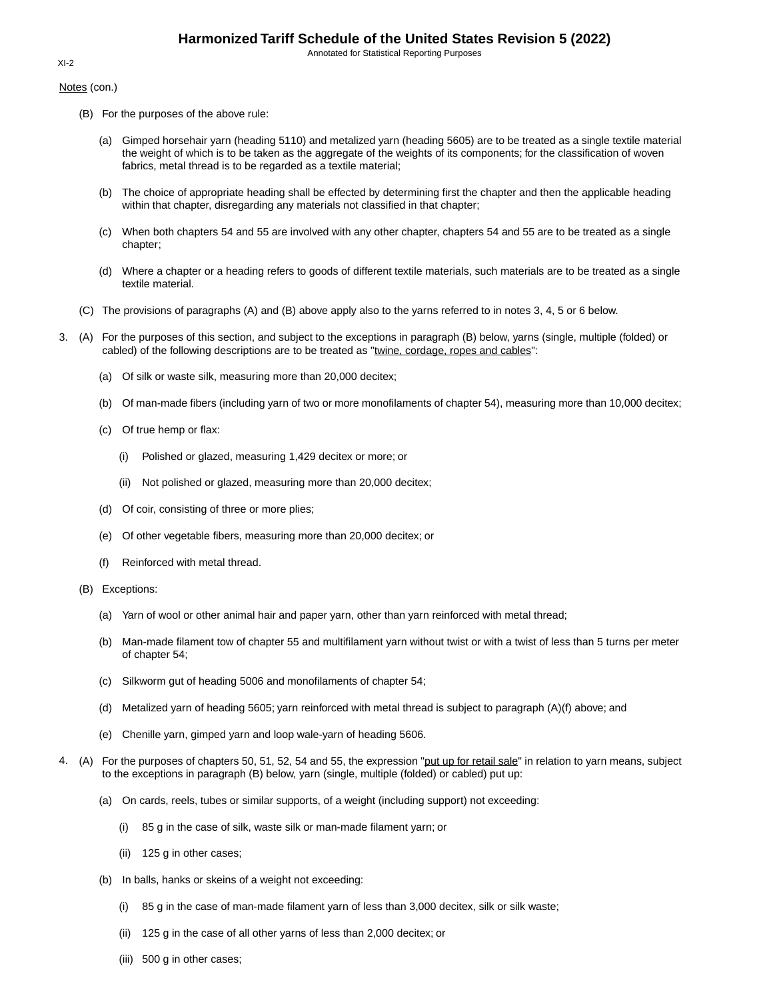Notes (con.)

- (B) For the purposes of the above rule:
	- (a) Gimped horsehair yarn (heading 5110) and metalized yarn (heading 5605) are to be treated as a single textile material the weight of which is to be taken as the aggregate of the weights of its components; for the classification of woven fabrics, metal thread is to be regarded as a textile material;
	- (b) The choice of appropriate heading shall be effected by determining first the chapter and then the applicable heading within that chapter, disregarding any materials not classified in that chapter;
	- (c) When both chapters 54 and 55 are involved with any other chapter, chapters 54 and 55 are to be treated as a single chapter;
	- (d) Where a chapter or a heading refers to goods of different textile materials, such materials are to be treated as a single textile material.
- (C) The provisions of paragraphs (A) and (B) above apply also to the yarns referred to in notes 3, 4, 5 or 6 below.
- 3. (A) For the purposes of this section, and subject to the exceptions in paragraph (B) below, yarns (single, multiple (folded) or cabled) of the following descriptions are to be treated as "twine, cordage, ropes and cables":
	- (a) Of silk or waste silk, measuring more than 20,000 decitex;
	- (b) Of man-made fibers (including yarn of two or more monofilaments of chapter 54), measuring more than 10,000 decitex;
	- (c) Of true hemp or flax:
		- (i) Polished or glazed, measuring 1,429 decitex or more; or
		- (ii) Not polished or glazed, measuring more than 20,000 decitex;
	- (d) Of coir, consisting of three or more plies;
	- (e) Of other vegetable fibers, measuring more than 20,000 decitex; or
	- (f) Reinforced with metal thread.
	- (B) Exceptions:
		- (a) Yarn of wool or other animal hair and paper yarn, other than yarn reinforced with metal thread;
		- (b) Man-made filament tow of chapter 55 and multifilament yarn without twist or with a twist of less than 5 turns per meter of chapter 54;
		- (c) Silkworm gut of heading 5006 and monofilaments of chapter 54;
		- (d) Metalized yarn of heading 5605; yarn reinforced with metal thread is subject to paragraph (A)(f) above; and
		- (e) Chenille yarn, gimped yarn and loop wale-yarn of heading 5606.
- 4. (A) For the purposes of chapters 50, 51, 52, 54 and 55, the expression "put up for retail sale" in relation to yarn means, subject to the exceptions in paragraph (B) below, yarn (single, multiple (folded) or cabled) put up:
	- (a) On cards, reels, tubes or similar supports, of a weight (including support) not exceeding:
		- (i) 85 g in the case of silk, waste silk or man-made filament yarn; or
		- (ii) 125 g in other cases;
	- (b) In balls, hanks or skeins of a weight not exceeding:
		- (i) 85 g in the case of man-made filament yarn of less than 3,000 decitex, silk or silk waste;
		- (ii) 125 g in the case of all other yarns of less than 2,000 decitex; or
		- (iii) 500 g in other cases;

### XI-2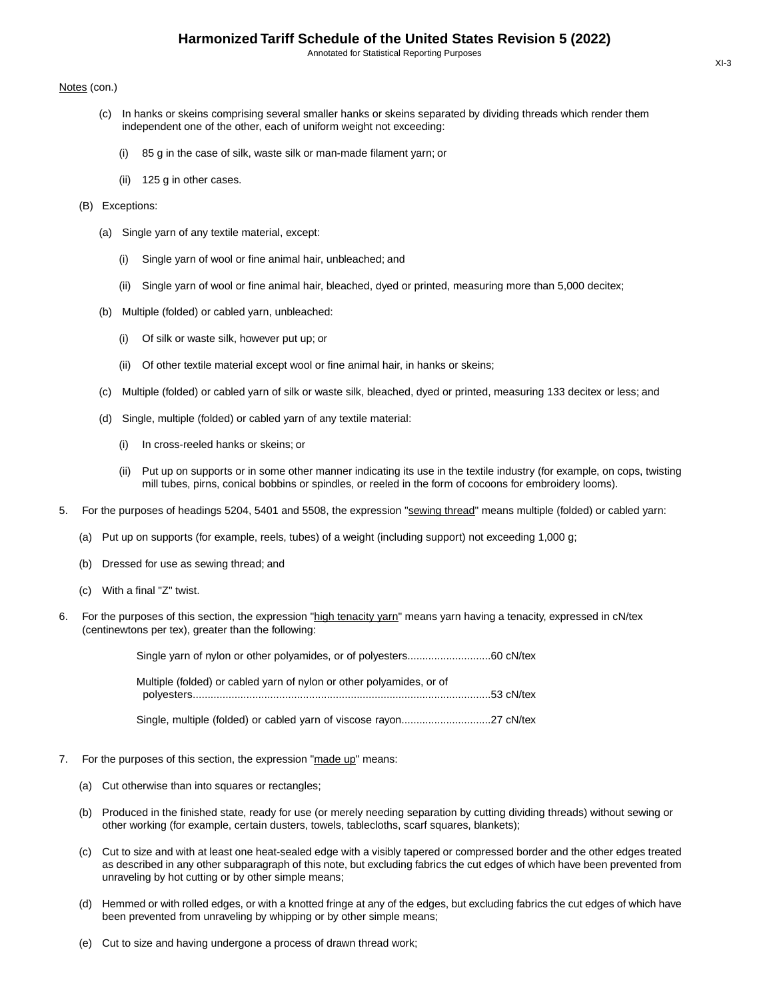### Notes (con.)

- (c) In hanks or skeins comprising several smaller hanks or skeins separated by dividing threads which render them independent one of the other, each of uniform weight not exceeding:
	- (i) 85 g in the case of silk, waste silk or man-made filament yarn; or
	- (ii) 125 g in other cases.
- (B) Exceptions:
	- (a) Single yarn of any textile material, except:
		- (i) Single yarn of wool or fine animal hair, unbleached; and
		- (ii) Single yarn of wool or fine animal hair, bleached, dyed or printed, measuring more than 5,000 decitex;
	- (b) Multiple (folded) or cabled yarn, unbleached:
		- (i) Of silk or waste silk, however put up; or
		- (ii) Of other textile material except wool or fine animal hair, in hanks or skeins;
	- (c) Multiple (folded) or cabled yarn of silk or waste silk, bleached, dyed or printed, measuring 133 decitex or less; and
	- (d) Single, multiple (folded) or cabled yarn of any textile material:
		- (i) In cross-reeled hanks or skeins; or
		- (ii) Put up on supports or in some other manner indicating its use in the textile industry (for example, on cops, twisting mill tubes, pirns, conical bobbins or spindles, or reeled in the form of cocoons for embroidery looms).
- 5. For the purposes of headings 5204, 5401 and 5508, the expression "sewing thread" means multiple (folded) or cabled yarn:
	- (a) Put up on supports (for example, reels, tubes) of a weight (including support) not exceeding 1,000 g;
	- (b) Dressed for use as sewing thread; and
	- (c) With a final "Z" twist.
- 6. For the purposes of this section, the expression "high tenacity yarn" means yarn having a tenacity, expressed in cN/tex (centinewtons per tex), greater than the following:

| Multiple (folded) or cabled yarn of nylon or other polyamides, or of |  |
|----------------------------------------------------------------------|--|
|                                                                      |  |

Single, multiple (folded) or cabled yarn of viscose rayon..............................27 cN/tex

- 7. For the purposes of this section, the expression "made up" means:
	- (a) Cut otherwise than into squares or rectangles;
	- (b) Produced in the finished state, ready for use (or merely needing separation by cutting dividing threads) without sewing or other working (for example, certain dusters, towels, tablecloths, scarf squares, blankets);
	- (c) Cut to size and with at least one heat-sealed edge with a visibly tapered or compressed border and the other edges treated as described in any other subparagraph of this note, but excluding fabrics the cut edges of which have been prevented from unraveling by hot cutting or by other simple means;
	- (d) Hemmed or with rolled edges, or with a knotted fringe at any of the edges, but excluding fabrics the cut edges of which have been prevented from unraveling by whipping or by other simple means;
	- (e) Cut to size and having undergone a process of drawn thread work;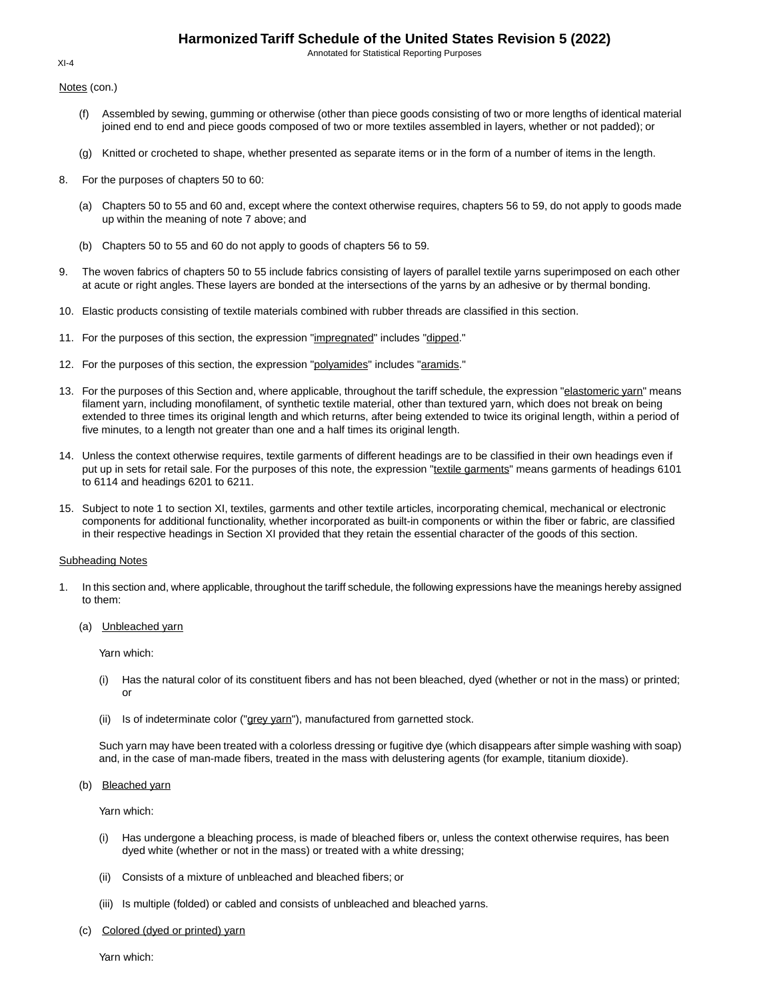Annotated for Statistical Reporting Purposes

Notes (con.)

- (f) Assembled by sewing, gumming or otherwise (other than piece goods consisting of two or more lengths of identical material joined end to end and piece goods composed of two or more textiles assembled in layers, whether or not padded); or
- (g) Knitted or crocheted to shape, whether presented as separate items or in the form of a number of items in the length.
- 8. For the purposes of chapters 50 to 60:
	- (a) Chapters 50 to 55 and 60 and, except where the context otherwise requires, chapters 56 to 59, do not apply to goods made up within the meaning of note 7 above; and
	- (b) Chapters 50 to 55 and 60 do not apply to goods of chapters 56 to 59.
- 9. The woven fabrics of chapters 50 to 55 include fabrics consisting of layers of parallel textile yarns superimposed on each other at acute or right angles. These layers are bonded at the intersections of the yarns by an adhesive or by thermal bonding.
- 10. Elastic products consisting of textile materials combined with rubber threads are classified in this section.
- 11. For the purposes of this section, the expression "impregnated" includes "dipped."
- 12. For the purposes of this section, the expression "polyamides" includes "aramids."
- 13. For the purposes of this Section and, where applicable, throughout the tariff schedule, the expression "elastomeric yarn" means filament yarn, including monofilament, of synthetic textile material, other than textured yarn, which does not break on being extended to three times its original length and which returns, after being extended to twice its original length, within a period of five minutes, to a length not greater than one and a half times its original length.
- 14. Unless the context otherwise requires, textile garments of different headings are to be classified in their own headings even if put up in sets for retail sale. For the purposes of this note, the expression "textile garments" means garments of headings 6101 to 6114 and headings 6201 to 6211.
- 15. Subject to note 1 to section XI, textiles, garments and other textile articles, incorporating chemical, mechanical or electronic components for additional functionality, whether incorporated as built-in components or within the fiber or fabric, are classified in their respective headings in Section XI provided that they retain the essential character of the goods of this section.

### Subheading Notes

- 1. In this section and, where applicable, throughout the tariff schedule, the following expressions have the meanings hereby assigned to them:
	- (a) Unbleached yarn

Yarn which:

- (i) Has the natural color of its constituent fibers and has not been bleached, dyed (whether or not in the mass) or printed; or
- (ii) Is of indeterminate color ("grey yarn"), manufactured from garnetted stock.

Such yarn may have been treated with a colorless dressing or fugitive dye (which disappears after simple washing with soap) and, in the case of man-made fibers, treated in the mass with delustering agents (for example, titanium dioxide).

(b) Bleached yarn

Yarn which:

- (i) Has undergone a bleaching process, is made of bleached fibers or, unless the context otherwise requires, has been dyed white (whether or not in the mass) or treated with a white dressing;
- (ii) Consists of a mixture of unbleached and bleached fibers; or
- (iii) Is multiple (folded) or cabled and consists of unbleached and bleached yarns.
- (c) Colored (dyed or printed) yarn

Yarn which:

### $XI-4$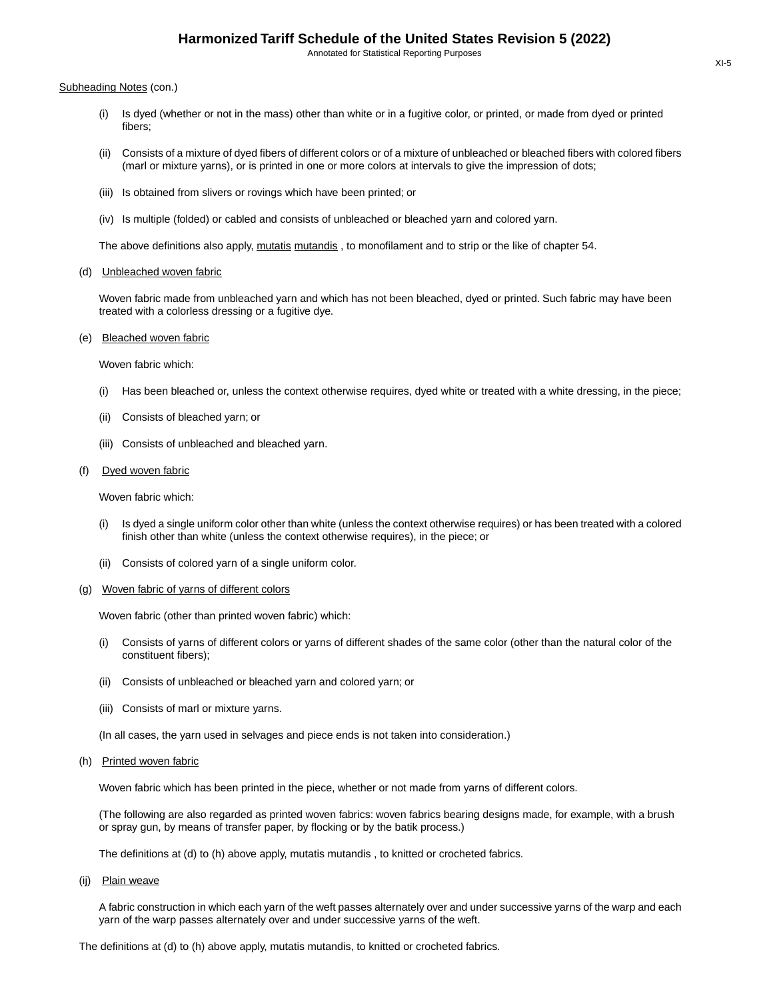#### Subheading Notes (con.)

- (i) Is dyed (whether or not in the mass) other than white or in a fugitive color, or printed, or made from dyed or printed fibers;
- (ii) Consists of a mixture of dyed fibers of different colors or of a mixture of unbleached or bleached fibers with colored fibers (marl or mixture yarns), or is printed in one or more colors at intervals to give the impression of dots;
- (iii) Is obtained from slivers or rovings which have been printed; or
- (iv) Is multiple (folded) or cabled and consists of unbleached or bleached yarn and colored yarn.

The above definitions also apply, mutatis mutandis, to monofilament and to strip or the like of chapter 54.

#### (d) Unbleached woven fabric

Woven fabric made from unbleached yarn and which has not been bleached, dyed or printed. Such fabric may have been treated with a colorless dressing or a fugitive dye.

### (e) Bleached woven fabric

Woven fabric which:

- (i) Has been bleached or, unless the context otherwise requires, dyed white or treated with a white dressing, in the piece;
- (ii) Consists of bleached yarn; or
- (iii) Consists of unbleached and bleached yarn.

#### (f) Dyed woven fabric

Woven fabric which:

- (i) Is dyed a single uniform color other than white (unless the context otherwise requires) or has been treated with a colored finish other than white (unless the context otherwise requires), in the piece; or
- (ii) Consists of colored yarn of a single uniform color.
- (g) Woven fabric of yarns of different colors

Woven fabric (other than printed woven fabric) which:

- (i) Consists of yarns of different colors or yarns of different shades of the same color (other than the natural color of the constituent fibers);
- (ii) Consists of unbleached or bleached yarn and colored yarn; or
- (iii) Consists of marl or mixture yarns.

(In all cases, the yarn used in selvages and piece ends is not taken into consideration.)

#### (h) Printed woven fabric

Woven fabric which has been printed in the piece, whether or not made from yarns of different colors.

(The following are also regarded as printed woven fabrics: woven fabrics bearing designs made, for example, with a brush or spray gun, by means of transfer paper, by flocking or by the batik process.)

The definitions at (d) to (h) above apply, mutatis mutandis , to knitted or crocheted fabrics.

(ij) Plain weave

A fabric construction in which each yarn of the weft passes alternately over and under successive yarns of the warp and each yarn of the warp passes alternately over and under successive yarns of the weft.

The definitions at (d) to (h) above apply, mutatis mutandis, to knitted or crocheted fabrics.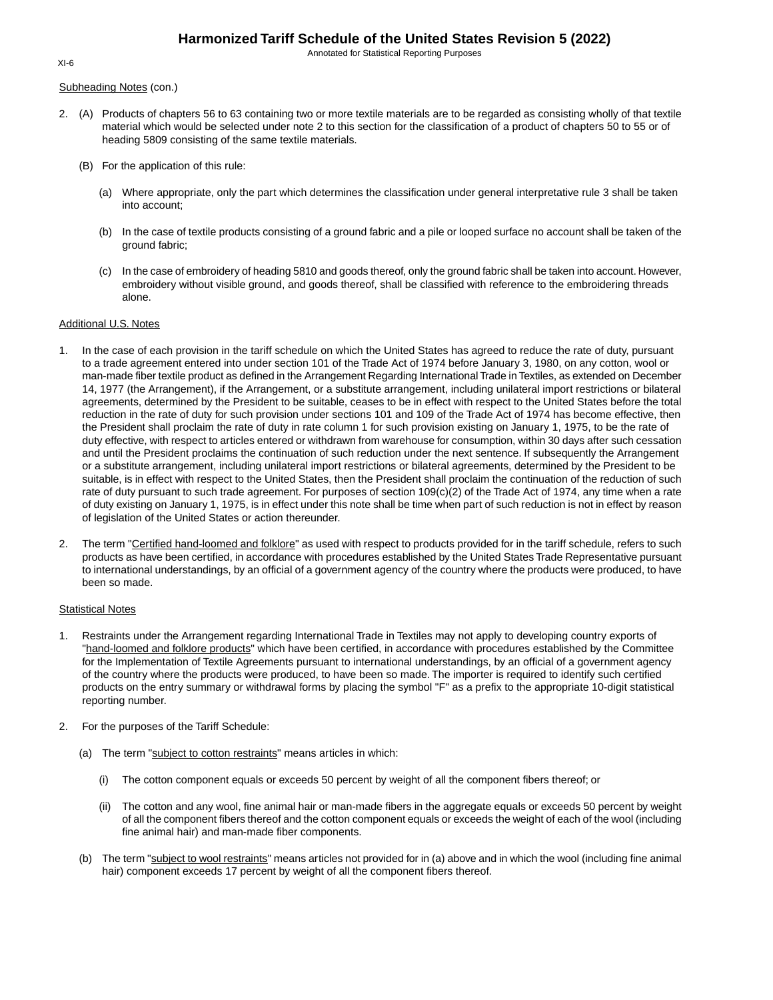Annotated for Statistical Reporting Purposes

Subheading Notes (con.)

- 2. (A) Products of chapters 56 to 63 containing two or more textile materials are to be regarded as consisting wholly of that textile material which would be selected under note 2 to this section for the classification of a product of chapters 50 to 55 or of heading 5809 consisting of the same textile materials.
	- (B) For the application of this rule:
		- (a) Where appropriate, only the part which determines the classification under general interpretative rule 3 shall be taken into account;
		- (b) In the case of textile products consisting of a ground fabric and a pile or looped surface no account shall be taken of the ground fabric;
		- (c) In the case of embroidery of heading 5810 and goods thereof, only the ground fabric shall be taken into account. However, embroidery without visible ground, and goods thereof, shall be classified with reference to the embroidering threads alone.

### Additional U.S. Notes

- 1. In the case of each provision in the tariff schedule on which the United States has agreed to reduce the rate of duty, pursuant to a trade agreement entered into under section 101 of the Trade Act of 1974 before January 3, 1980, on any cotton, wool or man-made fiber textile product as defined in the Arrangement Regarding International Trade in Textiles, as extended on December 14, 1977 (the Arrangement), if the Arrangement, or a substitute arrangement, including unilateral import restrictions or bilateral agreements, determined by the President to be suitable, ceases to be in effect with respect to the United States before the total reduction in the rate of duty for such provision under sections 101 and 109 of the Trade Act of 1974 has become effective, then the President shall proclaim the rate of duty in rate column 1 for such provision existing on January 1, 1975, to be the rate of duty effective, with respect to articles entered or withdrawn from warehouse for consumption, within 30 days after such cessation and until the President proclaims the continuation of such reduction under the next sentence. If subsequently the Arrangement or a substitute arrangement, including unilateral import restrictions or bilateral agreements, determined by the President to be suitable, is in effect with respect to the United States, then the President shall proclaim the continuation of the reduction of such rate of duty pursuant to such trade agreement. For purposes of section 109(c)(2) of the Trade Act of 1974, any time when a rate of duty existing on January 1, 1975, is in effect under this note shall be time when part of such reduction is not in effect by reason of legislation of the United States or action thereunder.
- 2. The term "Certified hand-loomed and folklore" as used with respect to products provided for in the tariff schedule, refers to such products as have been certified, in accordance with procedures established by the United States Trade Representative pursuant to international understandings, by an official of a government agency of the country where the products were produced, to have been so made.

#### Statistical Notes

- 1. Restraints under the Arrangement regarding International Trade in Textiles may not apply to developing country exports of "hand-loomed and folklore products" which have been certified, in accordance with procedures established by the Committee for the Implementation of Textile Agreements pursuant to international understandings, by an official of a government agency of the country where the products were produced, to have been so made. The importer is required to identify such certified products on the entry summary or withdrawal forms by placing the symbol "F" as a prefix to the appropriate 10-digit statistical reporting number.
- 2. For the purposes of the Tariff Schedule:
	- (a) The term "subject to cotton restraints" means articles in which:
		- (i) The cotton component equals or exceeds 50 percent by weight of all the component fibers thereof; or
		- (ii) The cotton and any wool, fine animal hair or man-made fibers in the aggregate equals or exceeds 50 percent by weight of all the component fibers thereof and the cotton component equals or exceeds the weight of each of the wool (including fine animal hair) and man-made fiber components.
	- (b) The term "subject to wool restraints" means articles not provided for in (a) above and in which the wool (including fine animal hair) component exceeds 17 percent by weight of all the component fibers thereof.

XI-6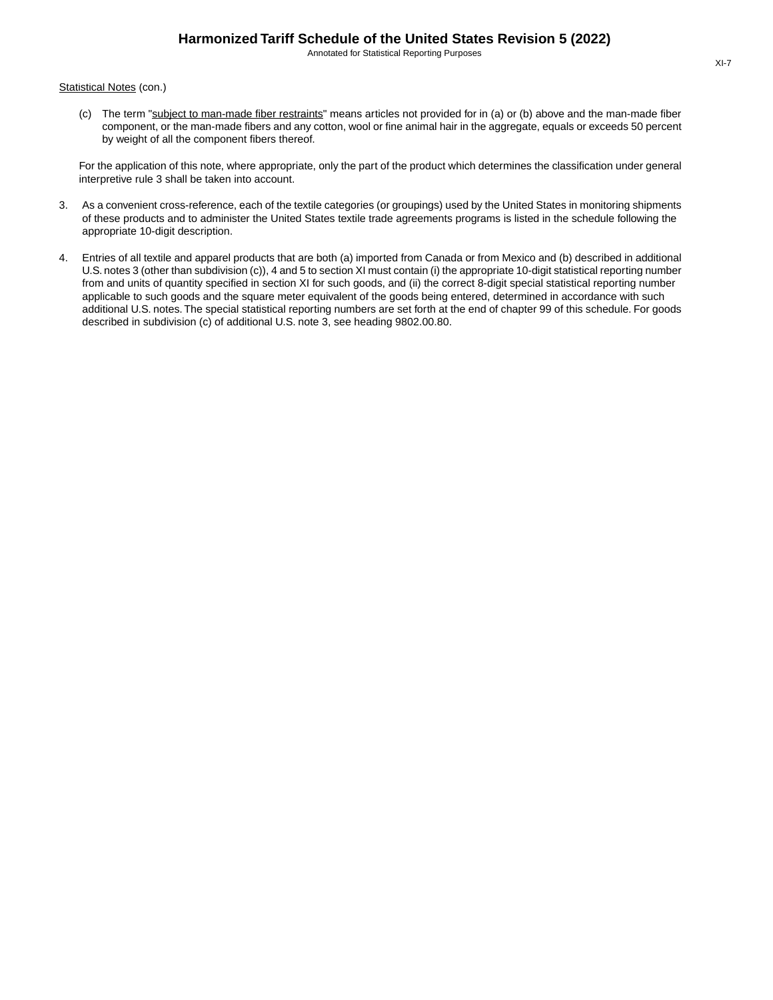Statistical Notes (con.)

(c) The term "subject to man-made fiber restraints" means articles not provided for in (a) or (b) above and the man-made fiber component, or the man-made fibers and any cotton, wool or fine animal hair in the aggregate, equals or exceeds 50 percent by weight of all the component fibers thereof.

For the application of this note, where appropriate, only the part of the product which determines the classification under general interpretive rule 3 shall be taken into account.

- 3. As a convenient cross-reference, each of the textile categories (or groupings) used by the United States in monitoring shipments of these products and to administer the United States textile trade agreements programs is listed in the schedule following the appropriate 10-digit description.
- 4. Entries of all textile and apparel products that are both (a) imported from Canada or from Mexico and (b) described in additional U.S. notes 3 (other than subdivision (c)), 4 and 5 to section XI must contain (i) the appropriate 10-digit statistical reporting number from and units of quantity specified in section XI for such goods, and (ii) the correct 8-digit special statistical reporting number applicable to such goods and the square meter equivalent of the goods being entered, determined in accordance with such additional U.S. notes. The special statistical reporting numbers are set forth at the end of chapter 99 of this schedule. For goods described in subdivision (c) of additional U.S. note 3, see heading 9802.00.80.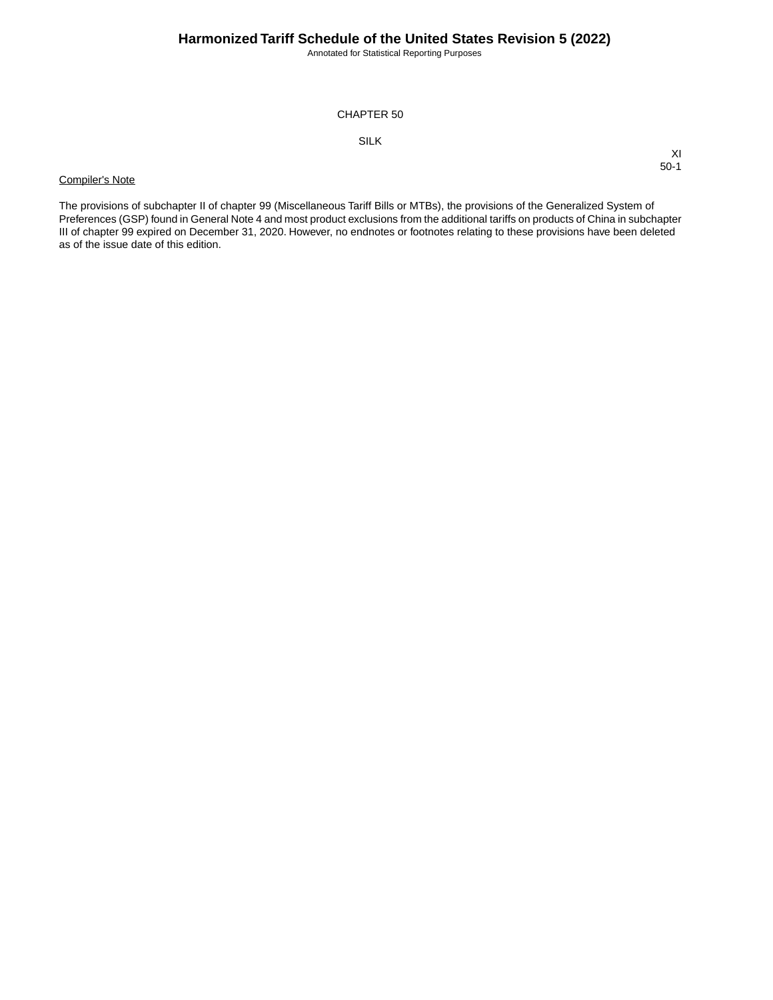Annotated for Statistical Reporting Purposes

XI 50-1

## CHAPTER 50

# SILK

## Compiler's Note

The provisions of subchapter II of chapter 99 (Miscellaneous Tariff Bills or MTBs), the provisions of the Generalized System of Preferences (GSP) found in General Note 4 and most product exclusions from the additional tariffs on products of China in subchapter III of chapter 99 expired on December 31, 2020. However, no endnotes or footnotes relating to these provisions have been deleted as of the issue date of this edition.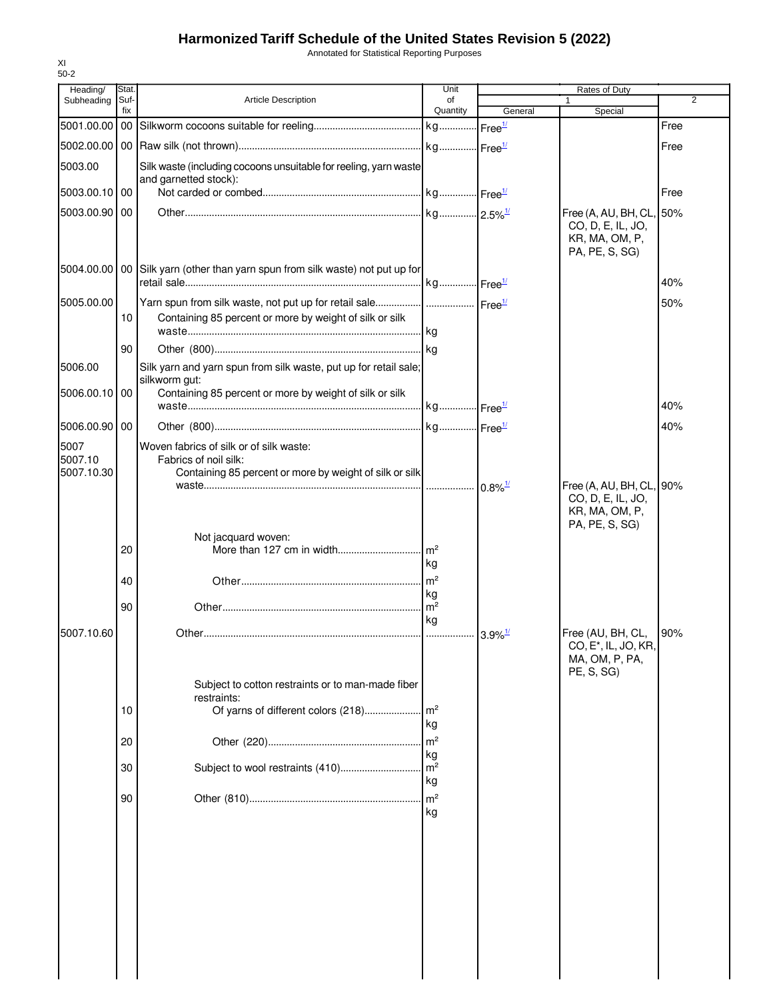Annotated for Statistical Reporting Purposes

| Heading/              | Stat.       |                                                                                                                                       | Unit                  | Rates of Duty         |                                               |                |
|-----------------------|-------------|---------------------------------------------------------------------------------------------------------------------------------------|-----------------------|-----------------------|-----------------------------------------------|----------------|
| Subheading            | Suf-<br>fix | Article Description                                                                                                                   | of<br>Quantity        | General               | 1<br>Special                                  | $\overline{2}$ |
| 5001.00.00            |             |                                                                                                                                       |                       | Free <sup>1/</sup>    |                                               | Free           |
| 5002.00.00            |             |                                                                                                                                       |                       |                       |                                               | Free           |
| 5003.00               |             | Silk waste (including cocoons unsuitable for reeling, yarn waste                                                                      |                       |                       |                                               |                |
| 5003.00.10 00         |             | and garnetted stock):                                                                                                                 |                       |                       |                                               | Free           |
| 5003.00.90 00         |             |                                                                                                                                       |                       |                       | Free (A, AU, BH, CL, 50%                      |                |
|                       |             |                                                                                                                                       |                       |                       | CO, D, E, IL, JO,<br>KR, MA, OM, P,           |                |
|                       |             |                                                                                                                                       |                       |                       | PA, PE, S, SG)                                |                |
| 5004.00.00            |             | 00 Silk yarn (other than yarn spun from silk waste) not put up for                                                                    |                       |                       |                                               |                |
|                       |             |                                                                                                                                       |                       |                       |                                               | 40%            |
| 5005.00.00            | 10          | Yarn spun from silk waste, not put up for retail sale   Free <sup>1/</sup><br>Containing 85 percent or more by weight of silk or silk |                       |                       |                                               | 50%            |
|                       |             |                                                                                                                                       |                       |                       |                                               |                |
|                       | 90          |                                                                                                                                       |                       |                       |                                               |                |
| 5006.00               |             | Silk yarn and yarn spun from silk waste, put up for retail sale;                                                                      |                       |                       |                                               |                |
| 5006.00.10 00         |             | silkworm gut:<br>Containing 85 percent or more by weight of silk or silk                                                              |                       |                       |                                               |                |
|                       |             |                                                                                                                                       |                       |                       |                                               | 40%            |
| 5006.00.90 00         |             |                                                                                                                                       |                       |                       |                                               | 40%            |
| 5007                  |             | Woven fabrics of silk or of silk waste:                                                                                               |                       |                       |                                               |                |
| 5007.10<br>5007.10.30 |             | Fabrics of noil silk:<br>Containing 85 percent or more by weight of silk or silk                                                      |                       |                       |                                               |                |
|                       |             |                                                                                                                                       |                       | $0.8\%$ <sup>1/</sup> | Free (A, AU, BH, CL, 90%<br>CO, D, E, IL, JO, |                |
|                       |             |                                                                                                                                       |                       |                       | KR, MA, OM, P,                                |                |
|                       |             | Not jacquard woven:                                                                                                                   |                       |                       | PA, PE, S, SG)                                |                |
|                       | 20          | More than 127 cm in width                                                                                                             | $\rm{m}^2$            |                       |                                               |                |
|                       |             |                                                                                                                                       | kg                    |                       |                                               |                |
|                       | 40          |                                                                                                                                       | $\mathsf{Im}^2$<br>kg |                       |                                               |                |
|                       | 90          |                                                                                                                                       | $\rm{m}^2$            |                       |                                               |                |
| 5007.10.60            |             |                                                                                                                                       | kg                    | $3.9\%$ <sup>1/</sup> | Free (AU, BH, CL,                             | 90%            |
|                       |             |                                                                                                                                       |                       |                       | CO, E <sup>*</sup> , IL, JO, KR,              |                |
|                       |             |                                                                                                                                       |                       |                       | MA, OM, P, PA,<br>PE, S, SG)                  |                |
|                       |             | Subject to cotton restraints or to man-made fiber                                                                                     |                       |                       |                                               |                |
|                       | 10          | restraints:<br>Of yarns of different colors (218)                                                                                     | $\mathsf{Im}^2$       |                       |                                               |                |
|                       |             |                                                                                                                                       | kg                    |                       |                                               |                |
|                       | 20          |                                                                                                                                       | m <sup>2</sup><br>kg  |                       |                                               |                |
|                       | 30          | Subject to wool restraints (410)                                                                                                      | $\mathsf{Im}^2$       |                       |                                               |                |
|                       |             |                                                                                                                                       | kg                    |                       |                                               |                |
|                       | 90          |                                                                                                                                       | m <sup>2</sup><br>kg  |                       |                                               |                |
|                       |             |                                                                                                                                       |                       |                       |                                               |                |
|                       |             |                                                                                                                                       |                       |                       |                                               |                |
|                       |             |                                                                                                                                       |                       |                       |                                               |                |
|                       |             |                                                                                                                                       |                       |                       |                                               |                |
|                       |             |                                                                                                                                       |                       |                       |                                               |                |
|                       |             |                                                                                                                                       |                       |                       |                                               |                |
|                       |             |                                                                                                                                       |                       |                       |                                               |                |
|                       |             |                                                                                                                                       |                       |                       |                                               |                |
|                       |             |                                                                                                                                       |                       |                       |                                               |                |

XI 50-2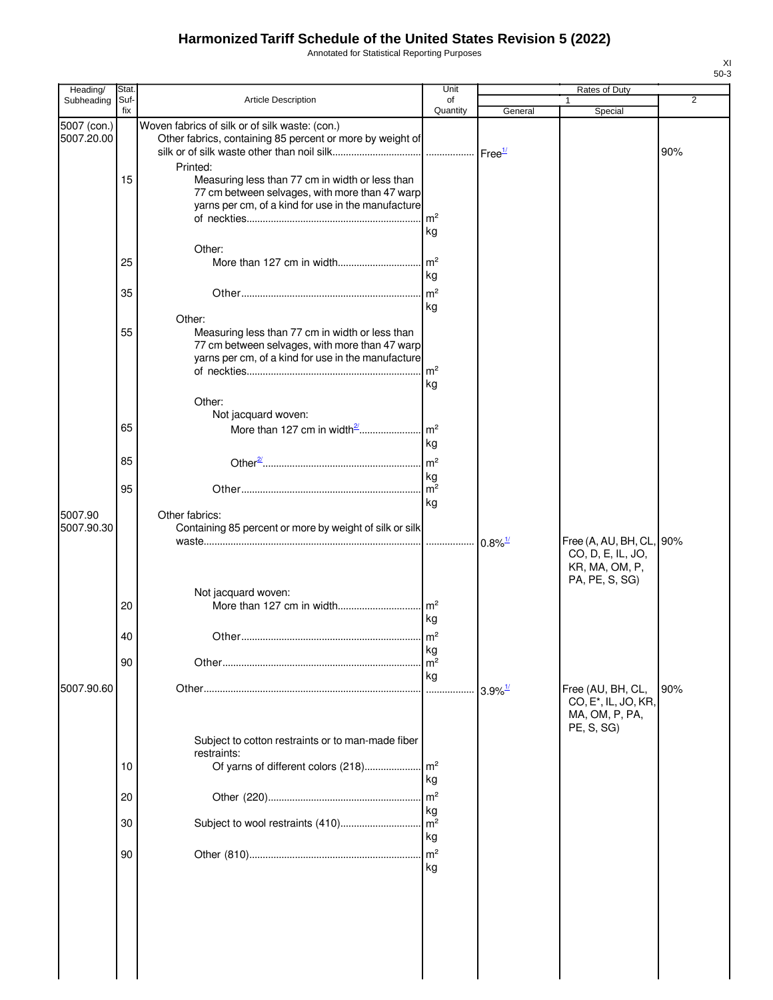Annotated for Statistical Reporting Purposes

| Heading/                  | Stat        |                                                                                                                                                                             | Unit                       |                       | Rates of Duty                                                                         |     |
|---------------------------|-------------|-----------------------------------------------------------------------------------------------------------------------------------------------------------------------------|----------------------------|-----------------------|---------------------------------------------------------------------------------------|-----|
| Subheading                | Suf-<br>fix | Article Description                                                                                                                                                         | of<br>Quantity             | General               | 1<br>Special                                                                          | 2   |
| 5007 (con.)<br>5007.20.00 |             | Woven fabrics of silk or of silk waste: (con.)<br>Other fabrics, containing 85 percent or more by weight of<br>Printed:                                                     |                            |                       |                                                                                       | 90% |
|                           | 15          | Measuring less than 77 cm in width or less than<br>77 cm between selvages, with more than 47 warp<br>yarns per cm, of a kind for use in the manufacture                     | kg                         |                       |                                                                                       |     |
|                           | 25          | Other:                                                                                                                                                                      | kg                         |                       |                                                                                       |     |
|                           | 35          |                                                                                                                                                                             | m <sup>2</sup><br>kg       |                       |                                                                                       |     |
|                           | 55          | Other:<br>Measuring less than 77 cm in width or less than<br>77 cm between selvages, with more than 47 warp<br>yarns per cm, of a kind for use in the manufacture<br>Other: | kg                         |                       |                                                                                       |     |
|                           | 65          | Not jacquard woven:                                                                                                                                                         |                            |                       |                                                                                       |     |
|                           | 85          |                                                                                                                                                                             | kg                         |                       |                                                                                       |     |
|                           | 95          |                                                                                                                                                                             | kg                         |                       |                                                                                       |     |
| 5007.90<br>5007.90.30     |             | Other fabrics:<br>Containing 85 percent or more by weight of silk or silk                                                                                                   | kg                         |                       | Free (A, AU, BH, CL, 90%<br>CO, D, E, IL, JO,                                         |     |
|                           | 20          | Not jacquard woven:                                                                                                                                                         | kg                         |                       | KR, MA, OM, P,<br>PA, PE, S, SG)                                                      |     |
|                           | 40          |                                                                                                                                                                             | kg                         |                       |                                                                                       |     |
|                           | 90          |                                                                                                                                                                             | m <sup>2</sup><br>kg       |                       |                                                                                       |     |
| 5007.90.60                |             |                                                                                                                                                                             |                            | $3.9\%$ <sup>1/</sup> | Free (AU, BH, CL,<br>CO, E <sup>*</sup> , IL, JO, KR,<br>MA, OM, P, PA,<br>PE, S, SG) | 90% |
|                           | 10          | Subject to cotton restraints or to man-made fiber<br>restraints:                                                                                                            |                            |                       |                                                                                       |     |
|                           | 20          |                                                                                                                                                                             | kg<br>m <sup>2</sup>       |                       |                                                                                       |     |
|                           | 30          | Subject to wool restraints (410)                                                                                                                                            | kg<br>m <sup>2</sup>       |                       |                                                                                       |     |
|                           | 90          |                                                                                                                                                                             | kg<br>m <sup>2</sup><br>kg |                       |                                                                                       |     |
|                           |             |                                                                                                                                                                             |                            |                       |                                                                                       |     |
|                           |             |                                                                                                                                                                             |                            |                       |                                                                                       |     |
|                           |             |                                                                                                                                                                             |                            |                       |                                                                                       |     |

XI 50-3